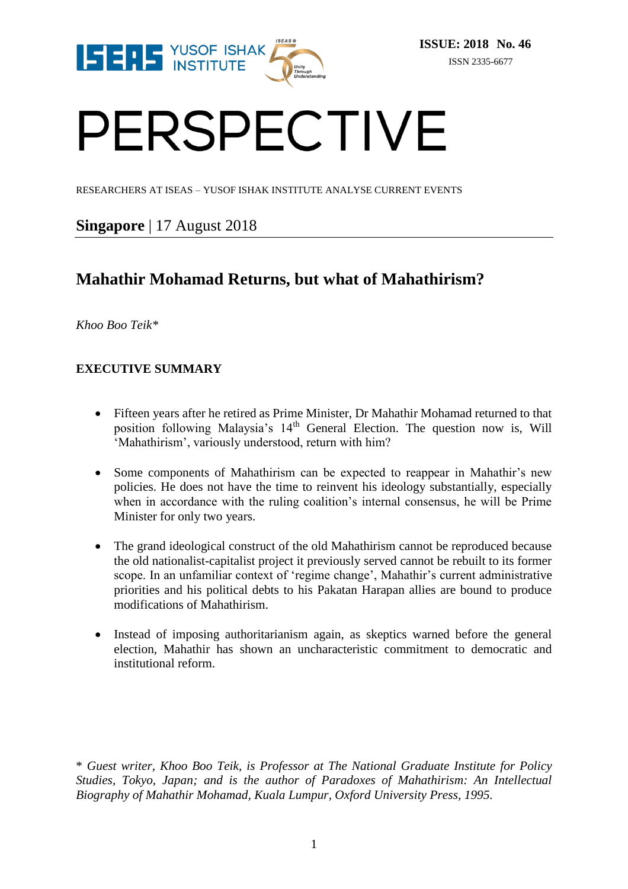

# PERSPECTIVE

RESEARCHERS AT ISEAS – YUSOF ISHAK INSTITUTE ANALYSE CURRENT EVENTS

# **Singapore** | 17 August 2018

# **Mahathir Mohamad Returns, but what of Mahathirism?**

*Khoo Boo Teik\**

# **EXECUTIVE SUMMARY**

- Fifteen years after he retired as Prime Minister, Dr Mahathir Mohamad returned to that position following Malaysia's 14<sup>th</sup> General Election. The question now is, Will 'Mahathirism', variously understood, return with him?
- Some components of Mahathirism can be expected to reappear in Mahathir's new policies. He does not have the time to reinvent his ideology substantially, especially when in accordance with the ruling coalition's internal consensus, he will be Prime Minister for only two years.
- The grand ideological construct of the old Mahathirism cannot be reproduced because the old nationalist-capitalist project it previously served cannot be rebuilt to its former scope. In an unfamiliar context of 'regime change', Mahathir's current administrative priorities and his political debts to his Pakatan Harapan allies are bound to produce modifications of Mahathirism.
- Instead of imposing authoritarianism again, as skeptics warned before the general election, Mahathir has shown an uncharacteristic commitment to democratic and institutional reform.

\* *Guest writer, Khoo Boo Teik, is Professor at The National Graduate Institute for Policy Studies, Tokyo, Japan; and is the author of Paradoxes of Mahathirism: An Intellectual Biography of Mahathir Mohamad, Kuala Lumpur, Oxford University Press, 1995.*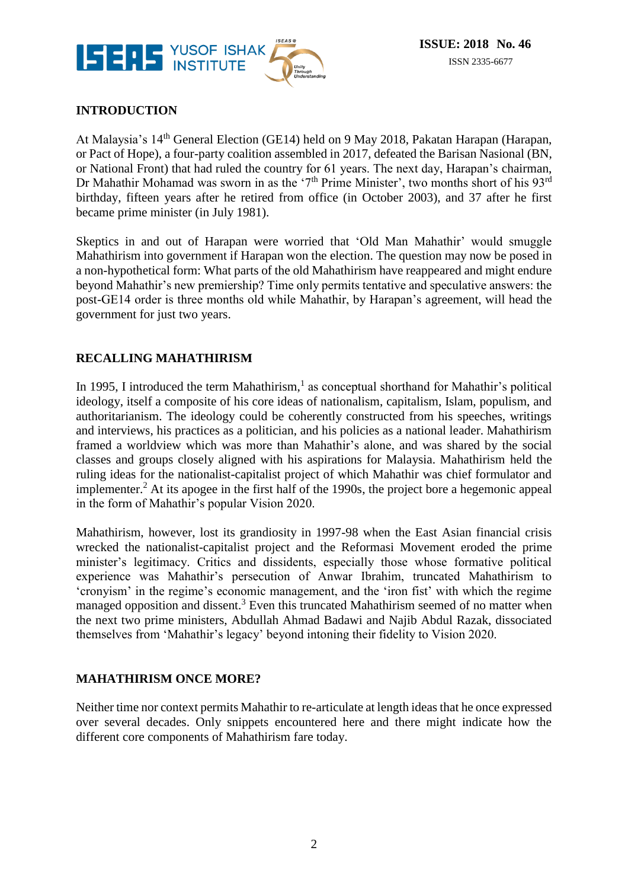

## **INTRODUCTION**

At Malaysia's 14<sup>th</sup> General Election (GE14) held on 9 May 2018, Pakatan Harapan (Harapan, or Pact of Hope), a four-party coalition assembled in 2017, defeated the Barisan Nasional (BN, or National Front) that had ruled the country for 61 years. The next day, Harapan's chairman, Dr Mahathir Mohamad was sworn in as the '7<sup>th</sup> Prime Minister', two months short of his 93<sup>rd</sup> birthday, fifteen years after he retired from office (in October 2003), and 37 after he first became prime minister (in July 1981).

Skeptics in and out of Harapan were worried that 'Old Man Mahathir' would smuggle Mahathirism into government if Harapan won the election. The question may now be posed in a non-hypothetical form: What parts of the old Mahathirism have reappeared and might endure beyond Mahathir's new premiership? Time only permits tentative and speculative answers: the post-GE14 order is three months old while Mahathir, by Harapan's agreement, will head the government for just two years.

## **RECALLING MAHATHIRISM**

In 1995, I introduced the term Mahathirism,<sup>1</sup> as conceptual shorthand for Mahathir's political ideology, itself a composite of his core ideas of nationalism, capitalism, Islam, populism, and authoritarianism. The ideology could be coherently constructed from his speeches, writings and interviews, his practices as a politician, and his policies as a national leader. Mahathirism framed a worldview which was more than Mahathir's alone, and was shared by the social classes and groups closely aligned with his aspirations for Malaysia. Mahathirism held the ruling ideas for the nationalist-capitalist project of which Mahathir was chief formulator and implementer.<sup>2</sup> At its apogee in the first half of the 1990s, the project bore a hegemonic appeal in the form of Mahathir's popular Vision 2020.

Mahathirism, however, lost its grandiosity in 1997-98 when the East Asian financial crisis wrecked the nationalist-capitalist project and the Reformasi Movement eroded the prime minister's legitimacy. Critics and dissidents, especially those whose formative political experience was Mahathir's persecution of Anwar Ibrahim, truncated Mahathirism to 'cronyism' in the regime's economic management, and the 'iron fist' with which the regime managed opposition and dissent.<sup>3</sup> Even this truncated Mahathirism seemed of no matter when the next two prime ministers, Abdullah Ahmad Badawi and Najib Abdul Razak, dissociated themselves from 'Mahathir's legacy' beyond intoning their fidelity to Vision 2020.

#### **MAHATHIRISM ONCE MORE?**

Neither time nor context permits Mahathir to re-articulate at length ideas that he once expressed over several decades. Only snippets encountered here and there might indicate how the different core components of Mahathirism fare today.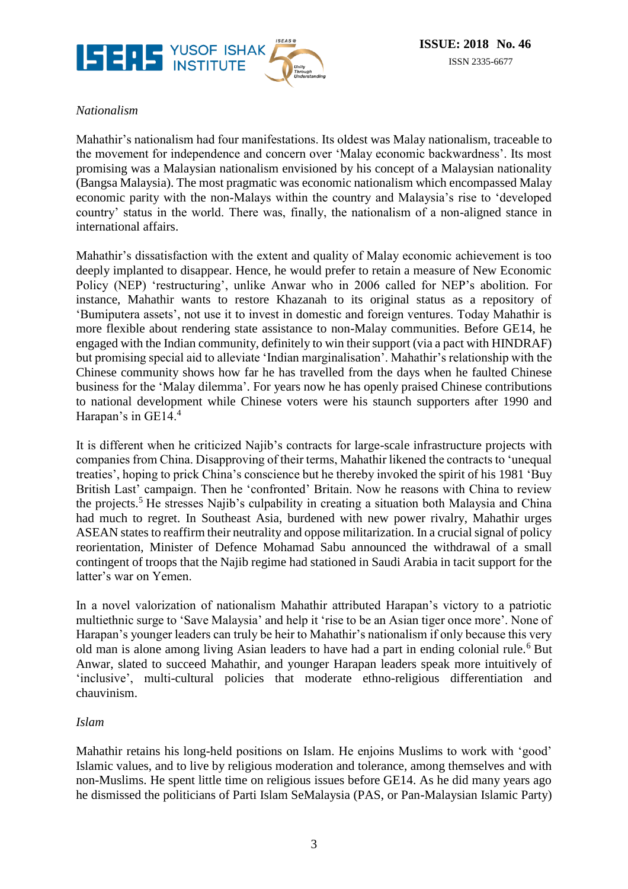

#### *Nationalism*

Mahathir's nationalism had four manifestations. Its oldest was Malay nationalism, traceable to the movement for independence and concern over 'Malay economic backwardness'. Its most promising was a Malaysian nationalism envisioned by his concept of a Malaysian nationality (Bangsa Malaysia). The most pragmatic was economic nationalism which encompassed Malay economic parity with the non-Malays within the country and Malaysia's rise to 'developed country' status in the world. There was, finally, the nationalism of a non-aligned stance in international affairs.

Mahathir's dissatisfaction with the extent and quality of Malay economic achievement is too deeply implanted to disappear. Hence, he would prefer to retain a measure of New Economic Policy (NEP) 'restructuring', unlike Anwar who in 2006 called for NEP's abolition. For instance, Mahathir wants to restore Khazanah to its original status as a repository of 'Bumiputera assets', not use it to invest in domestic and foreign ventures. Today Mahathir is more flexible about rendering state assistance to non-Malay communities. Before GE14, he engaged with the Indian community, definitely to win their support (via a pact with HINDRAF) but promising special aid to alleviate 'Indian marginalisation'. Mahathir's relationship with the Chinese community shows how far he has travelled from the days when he faulted Chinese business for the 'Malay dilemma'. For years now he has openly praised Chinese contributions to national development while Chinese voters were his staunch supporters after 1990 and Harapan's in GE14.<sup>4</sup>

It is different when he criticized Najib's contracts for large-scale infrastructure projects with companies from China. Disapproving of their terms, Mahathir likened the contracts to 'unequal treaties', hoping to prick China's conscience but he thereby invoked the spirit of his 1981 'Buy British Last' campaign. Then he 'confronted' Britain. Now he reasons with China to review the projects.<sup>5</sup> He stresses Najib's culpability in creating a situation both Malaysia and China had much to regret. In Southeast Asia, burdened with new power rivalry, Mahathir urges ASEAN states to reaffirm their neutrality and oppose militarization. In a crucial signal of policy reorientation, Minister of Defence Mohamad Sabu announced the withdrawal of a small contingent of troops that the Najib regime had stationed in Saudi Arabia in tacit support for the latter's war on Yemen.

In a novel valorization of nationalism Mahathir attributed Harapan's victory to a patriotic multiethnic surge to 'Save Malaysia' and help it 'rise to be an Asian tiger once more'. None of Harapan's younger leaders can truly be heir to Mahathir's nationalism if only because this very old man is alone among living Asian leaders to have had a part in ending colonial rule.<sup>6</sup> But Anwar, slated to succeed Mahathir, and younger Harapan leaders speak more intuitively of 'inclusive', multi-cultural policies that moderate ethno-religious differentiation and chauvinism.

#### *Islam*

Mahathir retains his long-held positions on Islam. He enjoins Muslims to work with 'good' Islamic values, and to live by religious moderation and tolerance, among themselves and with non-Muslims. He spent little time on religious issues before GE14. As he did many years ago he dismissed the politicians of Parti Islam SeMalaysia (PAS, or Pan-Malaysian Islamic Party)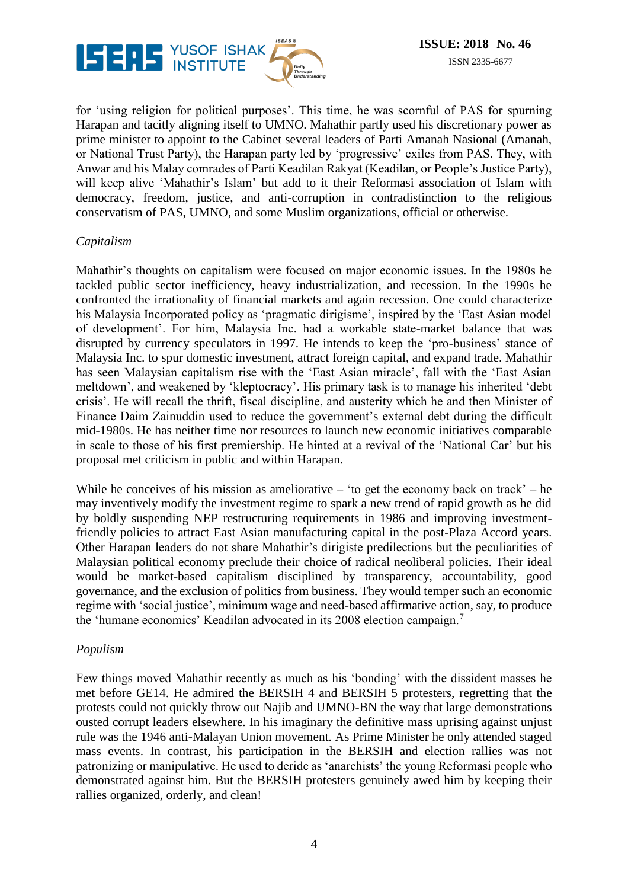

for 'using religion for political purposes'. This time, he was scornful of PAS for spurning Harapan and tacitly aligning itself to UMNO. Mahathir partly used his discretionary power as prime minister to appoint to the Cabinet several leaders of Parti Amanah Nasional (Amanah, or National Trust Party), the Harapan party led by 'progressive' exiles from PAS. They, with Anwar and his Malay comrades of Parti Keadilan Rakyat (Keadilan, or People's Justice Party), will keep alive 'Mahathir's Islam' but add to it their Reformasi association of Islam with democracy, freedom, justice, and anti-corruption in contradistinction to the religious conservatism of PAS, UMNO, and some Muslim organizations, official or otherwise.

#### *Capitalism*

Mahathir's thoughts on capitalism were focused on major economic issues. In the 1980s he tackled public sector inefficiency, heavy industrialization, and recession. In the 1990s he confronted the irrationality of financial markets and again recession. One could characterize his Malaysia Incorporated policy as 'pragmatic dirigisme', inspired by the 'East Asian model of development'. For him, Malaysia Inc. had a workable state-market balance that was disrupted by currency speculators in 1997. He intends to keep the 'pro-business' stance of Malaysia Inc. to spur domestic investment, attract foreign capital, and expand trade. Mahathir has seen Malaysian capitalism rise with the 'East Asian miracle', fall with the 'East Asian meltdown', and weakened by 'kleptocracy'. His primary task is to manage his inherited 'debt crisis'. He will recall the thrift, fiscal discipline, and austerity which he and then Minister of Finance Daim Zainuddin used to reduce the government's external debt during the difficult mid-1980s. He has neither time nor resources to launch new economic initiatives comparable in scale to those of his first premiership. He hinted at a revival of the 'National Car' but his proposal met criticism in public and within Harapan.

While he conceives of his mission as ameliorative  $-$  'to get the economy back on track'  $-$  he may inventively modify the investment regime to spark a new trend of rapid growth as he did by boldly suspending NEP restructuring requirements in 1986 and improving investmentfriendly policies to attract East Asian manufacturing capital in the post-Plaza Accord years. Other Harapan leaders do not share Mahathir's dirigiste predilections but the peculiarities of Malaysian political economy preclude their choice of radical neoliberal policies. Their ideal would be market-based capitalism disciplined by transparency, accountability, good governance, and the exclusion of politics from business. They would temper such an economic regime with 'social justice', minimum wage and need-based affirmative action, say, to produce the 'humane economics' Keadilan advocated in its 2008 election campaign.<sup>7</sup>

#### *Populism*

Few things moved Mahathir recently as much as his 'bonding' with the dissident masses he met before GE14. He admired the BERSIH 4 and BERSIH 5 protesters, regretting that the protests could not quickly throw out Najib and UMNO-BN the way that large demonstrations ousted corrupt leaders elsewhere. In his imaginary the definitive mass uprising against unjust rule was the 1946 anti-Malayan Union movement. As Prime Minister he only attended staged mass events. In contrast, his participation in the BERSIH and election rallies was not patronizing or manipulative. He used to deride as 'anarchists' the young Reformasi people who demonstrated against him. But the BERSIH protesters genuinely awed him by keeping their rallies organized, orderly, and clean!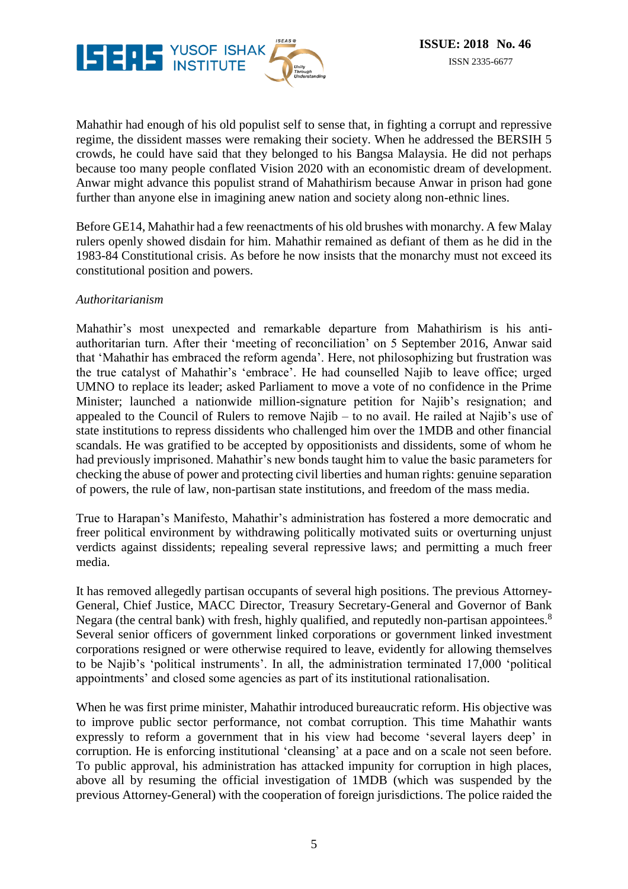

Mahathir had enough of his old populist self to sense that, in fighting a corrupt and repressive regime, the dissident masses were remaking their society. When he addressed the BERSIH 5 crowds, he could have said that they belonged to his Bangsa Malaysia. He did not perhaps because too many people conflated Vision 2020 with an economistic dream of development. Anwar might advance this populist strand of Mahathirism because Anwar in prison had gone further than anyone else in imagining anew nation and society along non-ethnic lines.

Before GE14, Mahathir had a few reenactments of his old brushes with monarchy. A few Malay rulers openly showed disdain for him. Mahathir remained as defiant of them as he did in the 1983-84 Constitutional crisis. As before he now insists that the monarchy must not exceed its constitutional position and powers.

#### *Authoritarianism*

Mahathir's most unexpected and remarkable departure from Mahathirism is his antiauthoritarian turn. After their 'meeting of reconciliation' on 5 September 2016, Anwar said that 'Mahathir has embraced the reform agenda'. Here, not philosophizing but frustration was the true catalyst of Mahathir's 'embrace'. He had counselled Najib to leave office; urged UMNO to replace its leader; asked Parliament to move a vote of no confidence in the Prime Minister; launched a nationwide million-signature petition for Najib's resignation; and appealed to the Council of Rulers to remove Najib – to no avail. He railed at Najib's use of state institutions to repress dissidents who challenged him over the 1MDB and other financial scandals. He was gratified to be accepted by oppositionists and dissidents, some of whom he had previously imprisoned. Mahathir's new bonds taught him to value the basic parameters for checking the abuse of power and protecting civil liberties and human rights: genuine separation of powers, the rule of law, non-partisan state institutions, and freedom of the mass media.

True to Harapan's Manifesto, Mahathir's administration has fostered a more democratic and freer political environment by withdrawing politically motivated suits or overturning unjust verdicts against dissidents; repealing several repressive laws; and permitting a much freer media.

It has removed allegedly partisan occupants of several high positions. The previous Attorney-General, Chief Justice, MACC Director, Treasury Secretary-General and Governor of Bank Negara (the central bank) with fresh, highly qualified, and reputedly non-partisan appointees.<sup>8</sup> Several senior officers of government linked corporations or government linked investment corporations resigned or were otherwise required to leave, evidently for allowing themselves to be Najib's 'political instruments'. In all, the administration terminated 17,000 'political appointments' and closed some agencies as part of its institutional rationalisation.

When he was first prime minister, Mahathir introduced bureaucratic reform. His objective was to improve public sector performance, not combat corruption. This time Mahathir wants expressly to reform a government that in his view had become 'several layers deep' in corruption. He is enforcing institutional 'cleansing' at a pace and on a scale not seen before. To public approval, his administration has attacked impunity for corruption in high places, above all by resuming the official investigation of 1MDB (which was suspended by the previous Attorney-General) with the cooperation of foreign jurisdictions. The police raided the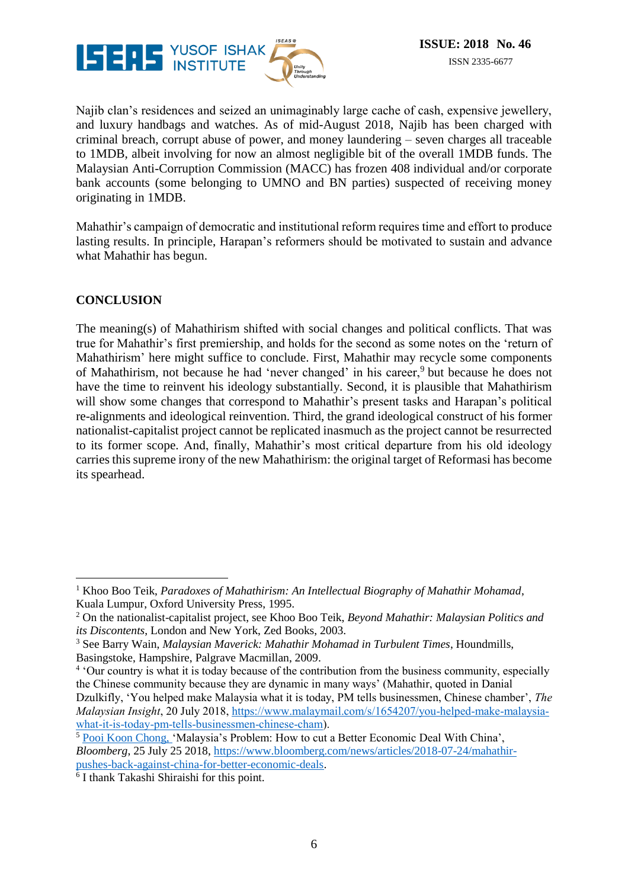

Najib clan's residences and seized an unimaginably large cache of cash, expensive jewellery, and luxury handbags and watches. As of mid-August 2018, Najib has been charged with criminal breach, corrupt abuse of power, and money laundering – seven charges all traceable to 1MDB, albeit involving for now an almost negligible bit of the overall 1MDB funds. The Malaysian Anti-Corruption Commission (MACC) has frozen 408 individual and/or corporate bank accounts (some belonging to UMNO and BN parties) suspected of receiving money originating in 1MDB.

Mahathir's campaign of democratic and institutional reform requires time and effort to produce lasting results. In principle, Harapan's reformers should be motivated to sustain and advance what Mahathir has begun.

## **CONCLUSION**

The meaning(s) of Mahathirism shifted with social changes and political conflicts. That was true for Mahathir's first premiership, and holds for the second as some notes on the 'return of Mahathirism' here might suffice to conclude. First, Mahathir may recycle some components of Mahathirism, not because he had 'never changed' in his career,<sup>9</sup> but because he does not have the time to reinvent his ideology substantially. Second, it is plausible that Mahathirism will show some changes that correspond to Mahathir's present tasks and Harapan's political re-alignments and ideological reinvention. Third, the grand ideological construct of his former nationalist-capitalist project cannot be replicated inasmuch as the project cannot be resurrected to its former scope. And, finally, Mahathir's most critical departure from his old ideology carries this supreme irony of the new Mahathirism: the original target of Reformasi has become its spearhead.

<sup>1</sup> Khoo Boo Teik, *Paradoxes of Mahathirism: An Intellectual Biography of Mahathir Mohamad*, Kuala Lumpur, Oxford University Press, 1995.  $\overline{a}$ 

<sup>2</sup> On the nationalist-capitalist project, see Khoo Boo Teik, *Beyond Mahathir: Malaysian Politics and its Discontents*, London and New York, Zed Books, 2003.

<sup>3</sup> See Barry Wain, *Malaysian Maverick: Mahathir Mohamad in Turbulent Times*, Houndmills, Basingstoke, Hampshire, Palgrave Macmillan, 2009.

<sup>&</sup>lt;sup>4</sup> 'Our country is what it is today because of the contribution from the business community, especially the Chinese community because they are dynamic in many ways' (Mahathir, quoted in Danial Dzulkifly, 'You helped make Malaysia what it is today, PM tells businessmen, Chinese chamber', *The Malaysian Insight*, 20 July 2018, [https://www.malaymail.com/s/1654207/you-helped-make-malaysia](https://www.malaymail.com/s/1654207/you-helped-make-malaysia-what-it-is-today-pm-tells-businessmen-chinese-cham)[what-it-is-today-pm-tells-businessmen-chinese-cham\)](https://www.malaymail.com/s/1654207/you-helped-make-malaysia-what-it-is-today-pm-tells-businessmen-chinese-cham).

<sup>&</sup>lt;sup>5</sup> Pooi Koon [Chong,](https://www.bloomberg.com/authors/AP-G3MNl-l0/pooi-koon-chong) 'Malaysia's Problem: How to cut a Better Economic Deal With China', *Bloomberg*, 25 July 25 2018, [https://www.bloomberg.com/news/articles/2018-07-24/mahathir](https://www.bloomberg.com/news/articles/2018-07-24/mahathir-pushes-back-against-china-for-better-economic-deals)[pushes-back-against-china-for-better-economic-deals.](https://www.bloomberg.com/news/articles/2018-07-24/mahathir-pushes-back-against-china-for-better-economic-deals)

<sup>6</sup> I thank Takashi Shiraishi for this point.